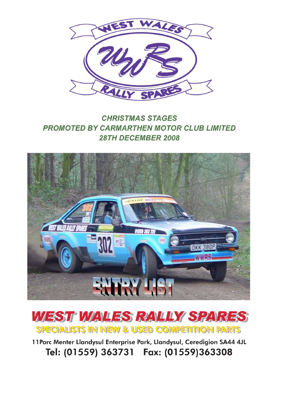

## **CHRISTMAS STAGES PROMOTED BY CARMARTHEN MOTOR CLUB LIMITED** 28TH DECEMBER 2008





11 Parc Menter Llandysul Enterprise Park, Llandysul, Ceredigion SA44 4JL Tel: (01559) 363731 Fax: (01559)363308